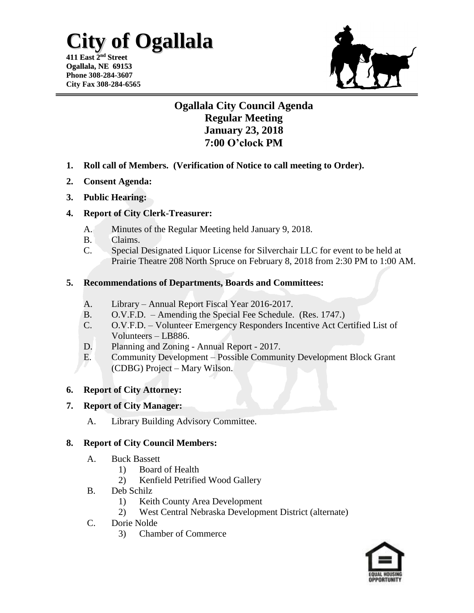## **City of Ogallala**

**411 East 2 nd Street Ogallala, NE 69153 Phone 308-284-3607 City Fax 308-284-6565**



### **Ogallala City Council Agenda Regular Meeting January 23, 2018 7:00 O'clock PM**

- **1. Roll call of Members. (Verification of Notice to call meeting to Order).**
- **2. Consent Agenda:**
- **3. Public Hearing:**

#### **4. Report of City Clerk-Treasurer:**

- A. Minutes of the Regular Meeting held January 9, 2018.
- B. Claims.
- C. Special Designated Liquor License for Silverchair LLC for event to be held at Prairie Theatre 208 North Spruce on February 8, 2018 from 2:30 PM to 1:00 AM.

#### **5. Recommendations of Departments, Boards and Committees:**

- A. Library Annual Report Fiscal Year 2016-2017.
- B. O.V.F.D. Amending the Special Fee Schedule. (Res. 1747.)
- C. O.V.F.D. Volunteer Emergency Responders Incentive Act Certified List of Volunteers – LB886.
- D. Planning and Zoning Annual Report 2017.
- E. Community Development Possible Community Development Block Grant (CDBG) Project – Mary Wilson.

#### **6. Report of City Attorney:**

#### **7. Report of City Manager:**

A. Library Building Advisory Committee.

#### **8. Report of City Council Members:**

- A. Buck Bassett
	- 1) Board of Health
	- 2) Kenfield Petrified Wood Gallery
- B. Deb Schilz
	- 1) Keith County Area Development
	- 2) West Central Nebraska Development District (alternate)
- C. Dorie Nolde
	- 3) Chamber of Commerce